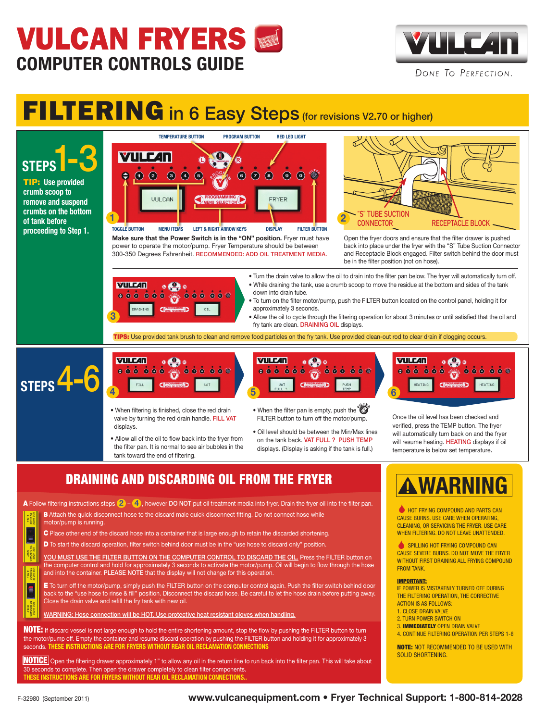



**TIP: Use provided** crumb scoop to remove and suspend crumbs on the bottom of tank before proceeding to Step 1.

Make sure that the Power Switch is in the "ON" position. Fryer must have power to operate the motor/pump. Fryer Temperature should be between 300-350 Degrees Fahrenheit. RECOMMENDED: ADD OIL TREATMENT MEDIA.

Open the fryer doors and ensure that the filter drawer is pushed back into place under the fryer with the "S" Tube Suction Connector and Receptacle Block engaged. Filter switch behind the door must be in the filter position (not on hose).

# COMPUTER CONTROLS GUIDE VULCAN FRYERS F



DONE TO PERFECTION.

# FILTERING in 6 Easy Steps (for revisions V2.70 or higher)

- When the filter pan is empty, push the  $\bullet$ FILTER button to turn off the motor/pump.
- Oil level should be between the Min/Max lines on the tank back. VAT FULL ? PUSH TEMP displays. (Display is asking if the tank is full.)



- Turn the drain valve to allow the oil to drain into the filter pan below. The fryer will automatically turn off. • While draining the tank, use a crumb scoop to move the residue at the bottom and sides of the tank
- down into drain tube. • To turn on the filter motor/pump, push the FILTER button located on the control panel, holding it for approximately 3 seconds.
- Allow the oil to cycle through the filtering operation for about 3 minutes or until satisfied that the oil and fry tank are clean. DRAINING OIL displays.

**TIPS:** Use provided tank brush to clean and remove food particles on the fry tank. Use provided clean-out rod to clear drain if clogging occurs.



- When filtering is finished, close the red drain valve by turning the red drain handle. FILL VAT displays.
- Allow all of the oil to flow back into the fryer from the filter pan. It is normal to see air bubbles in the tank toward the end of filtering.



NOTE: If discard vessel is not large enough to hold the entire shortening amount, stop the flow by pushing the FILTER button to turn the motor/pump off. Empty the container and resume discard operation by pushing the FILTER button and holding it for approximately 3 seconds. THESE INSTRUCTIONS ARE FOR FRYERS WITHOUT REAR OIL RECLAMATION CONNECTIONS

Once the oil level has been checked and verified, press the TEMP button. The fryer will automatically turn back on and the fryer will resume heating. HEATING displays if oil temperature is below set temperature.

MOTICE Open the filtering drawer approximately 1" to allow any oil in the return line to run back into the filter pan. This will take about 30 seconds to complete. Then open the drawer completely to clean filter components. THESE INSTRUCTIONS ARE FOR FRYERS WITHOUT REAR OIL RECLAMATION CONNECTIONS..

**COMPOUND AND PARTS CAN** CAUSE BURNS. USE CARE WHEN OPERATING, CLEANING, OR SERVICING THE FRYER. USE CARE WHEN FILTERING. DO NOT LEAVE UNATTENDED.

SPILLING HOT FRYING COMPOUND CAN CAUSE SEVERE BURNS. DO NOT MOVE THE FRYER WITHOUT FIRST DRAINING ALL FRYING COMPOUND FROM TANK.

E To turn off the motor/pump, simply push the FILTER button on the computer control again. Push the filter switch behind door back to the "use hose to rinse & fill" position. Disconnect the discard hose. Be careful to let the hose drain before putting away. Close the drain valve and refill the fry tank with new oil.

WARNING: Hose connection will be HOT. Use protective heat resistant gloves when handling.

### DRAINING AND DISCARDING OIL FROM THE FRYER

F-32980 (September 2011) www.vulcanequipment.com • Fryer Technical Support: 1-800-814-2028

#### IMPORTANT:

IF POWER IS MISTAKENLY TURNED OFF DURING THE FILTERING OPERATION, THE CORRECTIVE ACTION IS AS FOLLOWS: 1. CLOSE DRAIN VALVE 2. TURN POWER SWITCH ON 3. IMMEDIATELY OPEN DRAIN VALVE 4. CONTINUE FILTERING OPERATION PER STEPS 1-6

NOTE: NOT RECOMMENDED TO BE USED WITH SOLID SHORTENING.







USE HOSE TO DISCARD ONLY

TO RINSE

E

- **B** Attach the quick disconnect hose to the discard male quick disconnect fitting. Do not connect hose while motor/pump is running.
- C Place other end of the discard hose into a container that is large enough to retain the discarded shortening.
- D To start the discard operation, filter switch behind door must be in the "use hose to discard only" position.

YOU MUST USE THE FILTER BUTTON ON THE COMPUTER CONTROL TO DISCARD THE OIL. Press the FILTER button on the computer control and hold for approximately 3 seconds to activate the motor/pump. Oil will begin to flow through the hose and into the container. PLEASE NOTE that the display will not change for this operation. USE HOSE **USE HOSE**<br>TO RINSE<br>& FILL



## **WARNING**

#### A Follow filtering instructions steps  $(2 - 4)$ , however DO NOT put oil treatment media into fryer. Drain the fryer oil into the filter pan.